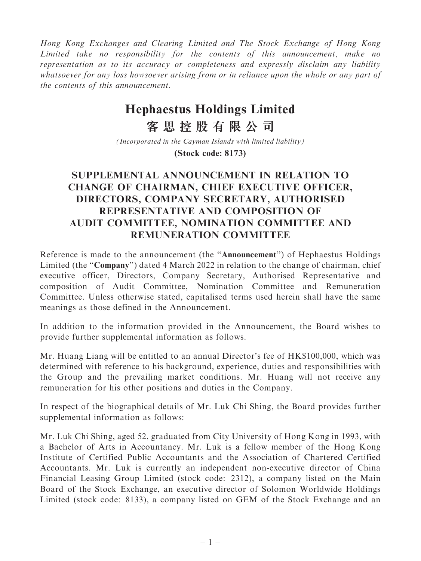Hong Kong Exchanges and Clearing Limited and The Stock Exchange of Hong Kong Limited take no responsibility for the contents of this announcement, make no representation as to its accuracy or completeness and expressly disclaim any liability whatsoever for any loss howsoever arising from or in reliance upon the whole or any part of the contents of this announcement.

## **Hephaestus Holdings Limited**

**客思控股有限公司**

*(Incorporated in the Cayman Islands with limited liability)*

**(Stock code: 8173)**

## SUPPLEMENTAL ANNOUNCEMENT IN RELATION TO CHANGE OF CHAIRMAN, CHIEF EXECUTIVE OFFICER, DIRECTORS, COMPANY SECRETARY, AUTHORISED REPRESENTATIVE AND COMPOSITION OF AUDIT COMMITTEE, NOMINATION COMMITTEE AND REMUNERATION COMMITTEE

Reference is made to the announcement (the ''Announcement'') of Hephaestus Holdings Limited (the "Company") dated 4 March 2022 in relation to the change of chairman, chief executive officer, Directors, Company Secretary, Authorised Representative and composition of Audit Committee, Nomination Committee and Remuneration Committee. Unless otherwise stated, capitalised terms used herein shall have the same meanings as those defined in the Announcement.

In addition to the information provided in the Announcement, the Board wishes to provide further supplemental information as follows.

Mr. Huang Liang will be entitled to an annual Director's fee of HK\$100,000, which was determined with reference to his background, experience, duties and responsibilities with the Group and the prevailing market conditions. Mr. Huang will not receive any remuneration for his other positions and duties in the Company.

In respect of the biographical details of Mr. Luk Chi Shing, the Board provides further supplemental information as follows:

Mr. Luk Chi Shing, aged 52, graduated from City University of Hong Kong in 1993, with a Bachelor of Arts in Accountancy. Mr. Luk is a fellow member of the Hong Kong Institute of Certified Public Accountants and the Association of Chartered Certified Accountants. Mr. Luk is currently an independent non-executive director of China Financial Leasing Group Limited (stock code: 2312), a company listed on the Main Board of the Stock Exchange, an executive director of Solomon Worldwide Holdings Limited (stock code: 8133), a company listed on GEM of the Stock Exchange and an